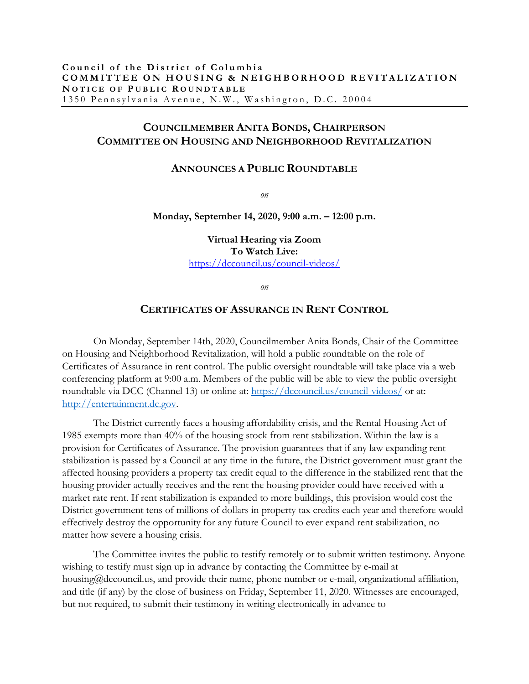## **COUNCILMEMBER ANITA BONDS, CHAIRPERSON COMMITTEE ON HOUSING AND NEIGHBORHOOD REVITALIZATION**

## **ANNOUNCES A PUBLIC ROUNDTABLE**

*on*

## **Monday, September 14, 2020, 9:00 a.m. – 12:00 p.m.**

**Virtual Hearing via Zoom To Watch Live:** <https://dccouncil.us/council-videos/>

*on*

## **CERTIFICATES OF ASSURANCE IN RENT CONTROL**

On Monday, September 14th, 2020, Councilmember Anita Bonds, Chair of the Committee on Housing and Neighborhood Revitalization, will hold a public roundtable on the role of Certificates of Assurance in rent control. The public oversight roundtable will take place via a web conferencing platform at 9:00 a.m. Members of the public will be able to view the public oversight roundtable via DCC (Channel 13) or online at:<https://dccouncil.us/council-videos/> or at: [http://entertainment.dc.gov.](http://entertainment.dc.gov/)

The District currently faces a housing affordability crisis, and the Rental Housing Act of 1985 exempts more than 40% of the housing stock from rent stabilization. Within the law is a provision for Certificates of Assurance. The provision guarantees that if any law expanding rent stabilization is passed by a Council at any time in the future, the District government must grant the affected housing providers a property tax credit equal to the difference in the stabilized rent that the housing provider actually receives and the rent the housing provider could have received with a market rate rent. If rent stabilization is expanded to more buildings, this provision would cost the District government tens of millions of dollars in property tax credits each year and therefore would effectively destroy the opportunity for any future Council to ever expand rent stabilization, no matter how severe a housing crisis.

The Committee invites the public to testify remotely or to submit written testimony. Anyone wishing to testify must sign up in advance by contacting the Committee by e-mail at housing@dccouncil.us, and provide their name, phone number or e-mail, organizational affiliation, and title (if any) by the close of business on Friday, September 11, 2020. Witnesses are encouraged, but not required, to submit their testimony in writing electronically in advance to